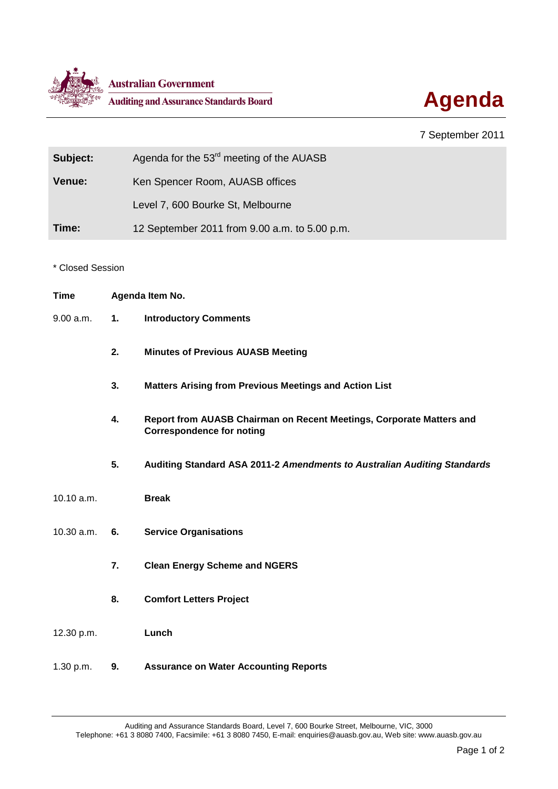



## 7 September 2011

| Subject:      | Agenda for the 53 <sup>rd</sup> meeting of the AUASB |
|---------------|------------------------------------------------------|
| <b>Venue:</b> | Ken Spencer Room, AUASB offices                      |
|               | Level 7, 600 Bourke St, Melbourne                    |
| Time:         | 12 September 2011 from 9.00 a.m. to 5.00 p.m.        |

\* Closed Session

| <b>Time</b> | Agenda Item No. |                                                                                                          |
|-------------|-----------------|----------------------------------------------------------------------------------------------------------|
| 9.00 a.m.   | 1.              | <b>Introductory Comments</b>                                                                             |
|             | 2.              | <b>Minutes of Previous AUASB Meeting</b>                                                                 |
|             | 3.              | <b>Matters Arising from Previous Meetings and Action List</b>                                            |
|             | 4.              | Report from AUASB Chairman on Recent Meetings, Corporate Matters and<br><b>Correspondence for noting</b> |
|             | 5.              | Auditing Standard ASA 2011-2 Amendments to Australian Auditing Standards                                 |
| 10.10 a.m.  |                 | <b>Break</b>                                                                                             |
| 10.30 a.m.  | 6.              | <b>Service Organisations</b>                                                                             |
|             | 7.              | <b>Clean Energy Scheme and NGERS</b>                                                                     |
|             | 8.              | <b>Comfort Letters Project</b>                                                                           |
| 12.30 p.m.  |                 | Lunch                                                                                                    |
| 1.30 p.m.   | 9.              | <b>Assurance on Water Accounting Reports</b>                                                             |